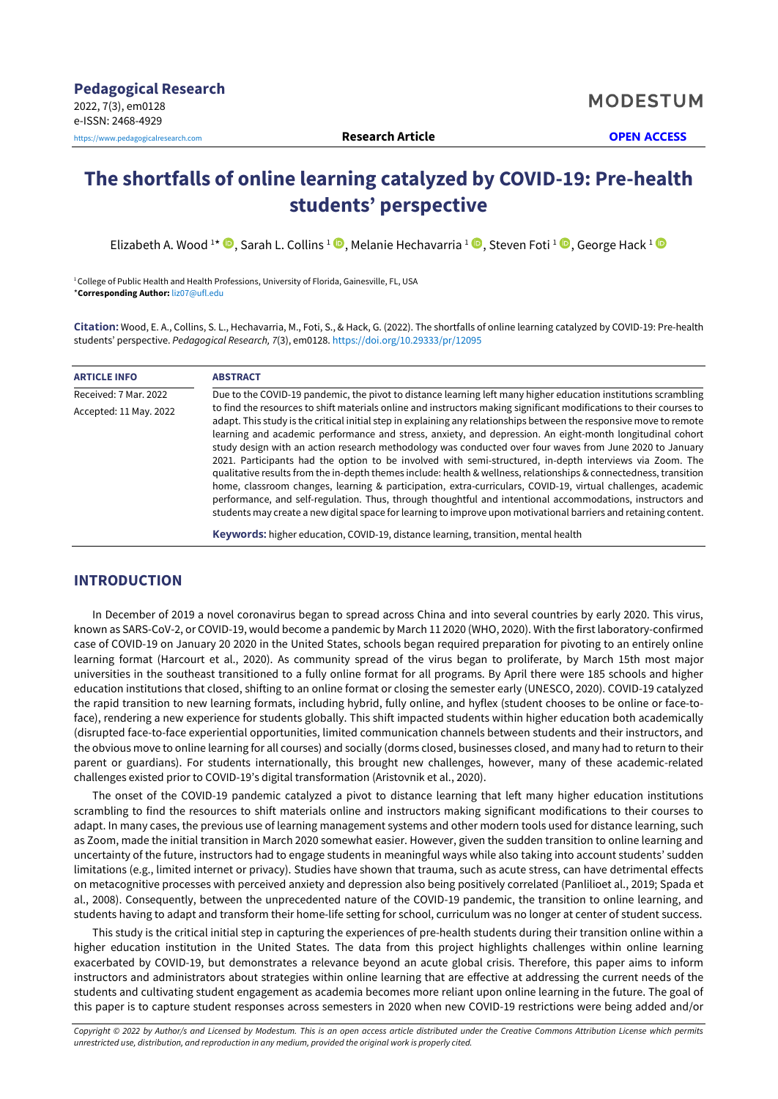# **The shortfalls of online learning catalyzed by COVID-19: Pre-health students' perspective**

Elizabeth A. Wood <sup>1\*</sup> ©, Sarah L. Collins <sup>1</sup> ©, Melanie Hechavarria <sup>1</sup> ©, Steven Foti <sup>1</sup> ©, George Hack <sup>1</sup>

<sup>1</sup>College of Public Health and Health Professions, University of Florida, Gainesville, FL, USA \***Corresponding Author:** [liz07@ufl.edu](mailto:liz07@ufl.edu)

**Citation:** Wood, E. A., Collins, S. L., Hechavarria, M., Foti, S., & Hack, G. (2022). The shortfalls of online learning catalyzed by COVID-19: Pre-health students' perspective. *Pedagogical Research, 7*(3), em0128. <https://doi.org/10.29333/pr/12095>

| <b>ARTICLE INFO</b>    | <b>ABSTRACT</b>                                                                                                                                                                                                                                                                                                                                                                                                                                                                                                                                                                                                                                                                                                                                                                                                                                                                                                                                                                                                                                            |
|------------------------|------------------------------------------------------------------------------------------------------------------------------------------------------------------------------------------------------------------------------------------------------------------------------------------------------------------------------------------------------------------------------------------------------------------------------------------------------------------------------------------------------------------------------------------------------------------------------------------------------------------------------------------------------------------------------------------------------------------------------------------------------------------------------------------------------------------------------------------------------------------------------------------------------------------------------------------------------------------------------------------------------------------------------------------------------------|
| Received: 7 Mar. 2022  | Due to the COVID-19 pandemic, the pivot to distance learning left many higher education institutions scrambling                                                                                                                                                                                                                                                                                                                                                                                                                                                                                                                                                                                                                                                                                                                                                                                                                                                                                                                                            |
| Accepted: 11 May. 2022 | to find the resources to shift materials online and instructors making significant modifications to their courses to<br>adapt. This study is the critical initial step in explaining any relationships between the responsive move to remote<br>learning and academic performance and stress, anxiety, and depression. An eight-month longitudinal cohort<br>study design with an action research methodology was conducted over four waves from June 2020 to January<br>2021. Participants had the option to be involved with semi-structured, in-depth interviews via Zoom. The<br>qualitative results from the in-depth themes include: health & wellness, relationships & connectedness, transition<br>home, classroom changes, learning & participation, extra-curriculars, COVID-19, virtual challenges, academic<br>performance, and self-regulation. Thus, through thoughtful and intentional accommodations, instructors and<br>students may create a new digital space for learning to improve upon motivational barriers and retaining content. |
|                        | Keywords: higher education, COVID-19, distance learning, transition, mental health                                                                                                                                                                                                                                                                                                                                                                                                                                                                                                                                                                                                                                                                                                                                                                                                                                                                                                                                                                         |

# **INTRODUCTION**

In December of 2019 a novel coronavirus began to spread across China and into several countries by early 2020. This virus, known as SARS-CoV-2, or COVID-19, would become a pandemic by March 11 2020 (WHO, 2020). With the first laboratory-confirmed case of COVID-19 on January 20 2020 in the United States, schools began required preparation for pivoting to an entirely online learning format (Harcourt et al., 2020). As community spread of the virus began to proliferate, by March 15th most major universities in the southeast transitioned to a fully online format for all programs. By April there were 185 schools and higher education institutions that closed, shifting to an online format or closing the semester early (UNESCO, 2020). COVID-19 catalyzed the rapid transition to new learning formats, including hybrid, fully online, and hyflex (student chooses to be online or face-toface), rendering a new experience for students globally. This shift impacted students within higher education both academically (disrupted face-to-face experiential opportunities, limited communication channels between students and their instructors, and the obvious move to online learning for all courses) and socially (dorms closed, businesses closed, and many had to return to their parent or guardians). For students internationally, this brought new challenges, however, many of these academic-related challenges existed prior to COVID-19's digital transformation (Aristovnik et al., 2020).

The onset of the COVID-19 pandemic catalyzed a pivot to distance learning that left many higher education institutions scrambling to find the resources to shift materials online and instructors making significant modifications to their courses to adapt. In many cases, the previous use of learning management systems and other modern tools used for distance learning, such as Zoom, made the initial transition in March 2020 somewhat easier. However, given the sudden transition to online learning and uncertainty of the future, instructors had to engage students in meaningful ways while also taking into account students' sudden limitations (e.g., limited internet or privacy). Studies have shown that trauma, such as acute stress, can have detrimental effects on metacognitive processes with perceived anxiety and depression also being positively correlated (Panlilioet al., 2019; Spada et al., 2008). Consequently, between the unprecedented nature of the COVID-19 pandemic, the transition to online learning, and students having to adapt and transform their home-life setting for school, curriculum was no longer at center of student success.

This study is the critical initial step in capturing the experiences of pre-health students during their transition online within a higher education institution in the United States. The data from this project highlights challenges within online learning exacerbated by COVID-19, but demonstrates a relevance beyond an acute global crisis. Therefore, this paper aims to inform instructors and administrators about strategies within online learning that are effective at addressing the current needs of the students and cultivating student engagement as academia becomes more reliant upon online learning in the future. The goal of this paper is to capture student responses across semesters in 2020 when new COVID-19 restrictions were being added and/or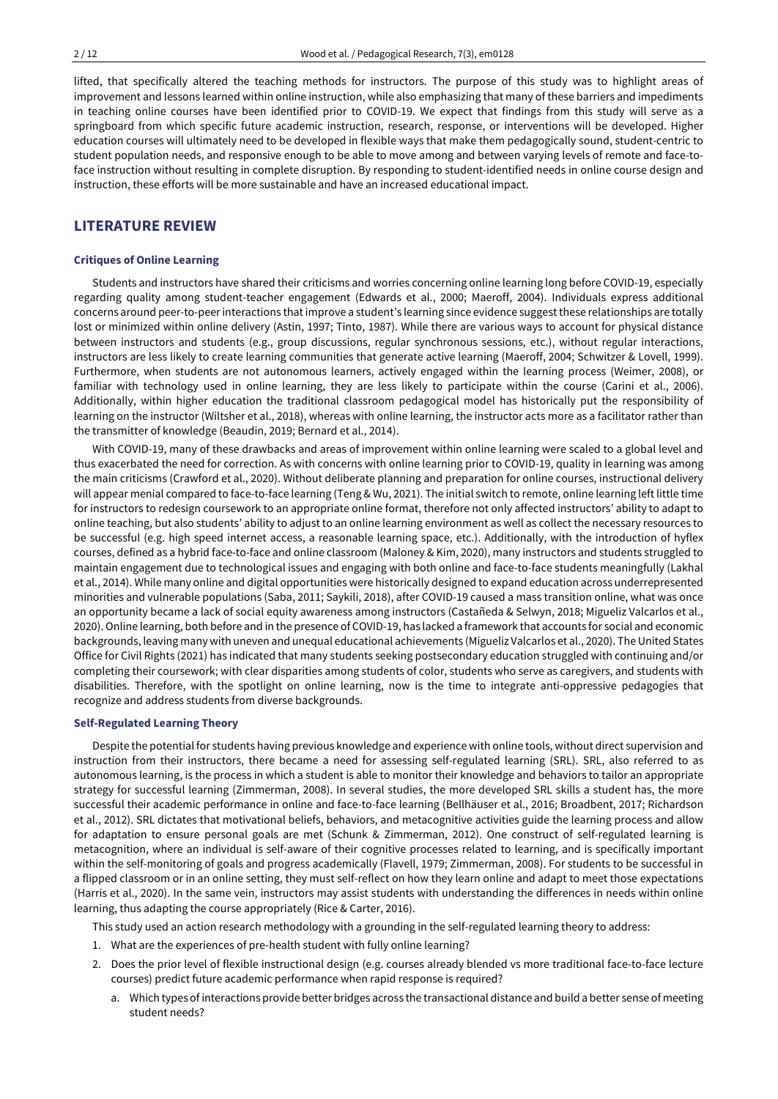lifted, that specifically altered the teaching methods for instructors. The purpose of this study was to highlight areas of improvement and lessons learned within online instruction, while also emphasizing that many of these barriers and impediments in teaching online courses have been identified prior to COVID-19. We expect that findings from this study will serve as a springboard from which specific future academic instruction, research, response, or interventions will be developed. Higher education courses will ultimately need to be developed in flexible ways that make them pedagogically sound, student-centric to student population needs, and responsive enough to be able to move among and between varying levels of remote and face-toface instruction without resulting in complete disruption. By responding to student-identified needs in online course design and instruction, these efforts will be more sustainable and have an increased educational impact.

# **LITERATURE REVIEW**

#### **Critiques of Online Learning**

Students and instructors have shared their criticisms and worries concerning online learning long before COVID-19, especially regarding quality among student-teacher engagement (Edwards et al., 2000; Maeroff, 2004). Individuals express additional concerns around peer-to-peerinteractions thatimprove a student's learning since evidence suggestthese relationships are totally lost or minimized within online delivery (Astin, 1997; Tinto, 1987). While there are various ways to account for physical distance between instructors and students (e.g., group discussions, regular synchronous sessions, etc.), without regular interactions, instructors are less likely to create learning communities that generate active learning (Maeroff, 2004; Schwitzer & Lovell, 1999). Furthermore, when students are not autonomous learners, actively engaged within the learning process (Weimer, 2008), or familiar with technology used in online learning, they are less likely to participate within the course (Carini et al., 2006). Additionally, within higher education the traditional classroom pedagogical model has historically put the responsibility of learning on the instructor (Wiltsher et al., 2018), whereas with online learning, the instructor acts more as a facilitator rather than the transmitter of knowledge (Beaudin, 2019; Bernard et al., 2014).

With COVID-19, many of these drawbacks and areas of improvement within online learning were scaled to a global level and thus exacerbated the need for correction. As with concerns with online learning prior to COVID-19, quality in learning was among the main criticisms (Crawford et al., 2020). Without deliberate planning and preparation for online courses, instructional delivery will appear menial compared to face-to-face learning (Teng & Wu, 2021). The initial switch to remote, online learning left little time for instructors to redesign coursework to an appropriate online format, therefore not only affected instructors' ability to adapt to online teaching, but also students' ability to adjust to an online learning environment as well as collect the necessary resources to be successful (e.g. high speed internet access, a reasonable learning space, etc.). Additionally, with the introduction of hyflex courses, defined as a hybrid face-to-face and online classroom (Maloney & Kim, 2020), many instructors and students struggled to maintain engagement due to technological issues and engaging with both online and face-to-face students meaningfully (Lakhal et al., 2014). While many online and digital opportunities were historically designed to expand education across underrepresented minorities and vulnerable populations (Saba, 2011; Saykili, 2018), after COVID-19 caused a mass transition online, what was once an opportunity became a lack of social equity awareness among instructors (Castañeda & Selwyn, 2018; Migueliz Valcarlos et al., 2020). Online learning, both before and in the presence of COVID-19, has lacked a framework that accounts for social and economic backgrounds, leaving many with uneven and unequal educational achievements (Migueliz Valcarlos et al., 2020). The United States Office for Civil Rights (2021) has indicated that many students seeking postsecondary education struggled with continuing and/or completing their coursework; with clear disparities among students of color, students who serve as caregivers, and students with disabilities. Therefore, with the spotlight on online learning, now is the time to integrate anti-oppressive pedagogies that recognize and address students from diverse backgrounds.

#### **Self-Regulated Learning Theory**

Despite the potential for students having previous knowledge and experience with online tools, without direct supervision and instruction from their instructors, there became a need for assessing self-regulated learning (SRL). SRL, also referred to as autonomous learning, is the process in which a student is able to monitor their knowledge and behaviors to tailor an appropriate strategy for successful learning (Zimmerman, 2008). In several studies, the more developed SRL skills a student has, the more successful their academic performance in online and face-to-face learning (Bellhäuser et al., 2016; Broadbent, 2017; Richardson et al., 2012). SRL dictates that motivational beliefs, behaviors, and metacognitive activities guide the learning process and allow for adaptation to ensure personal goals are met (Schunk & Zimmerman, 2012). One construct of self-regulated learning is metacognition, where an individual is self-aware of their cognitive processes related to learning, and is specifically important within the self-monitoring of goals and progress academically (Flavell, 1979; Zimmerman, 2008). For students to be successful in a flipped classroom or in an online setting, they must self-reflect on how they learn online and adapt to meet those expectations (Harris et al., 2020). In the same vein, instructors may assist students with understanding the differences in needs within online learning, thus adapting the course appropriately (Rice & Carter, 2016).

This study used an action research methodology with a grounding in the self-regulated learning theory to address:

- 1. What are the experiences of pre-health student with fully online learning?
- 2. Does the prior level of flexible instructional design (e.g. courses already blended vs more traditional face-to-face lecture courses) predict future academic performance when rapid response is required?
	- a. Which types of interactions provide better bridges across the transactional distance and build a better sense of meeting student needs?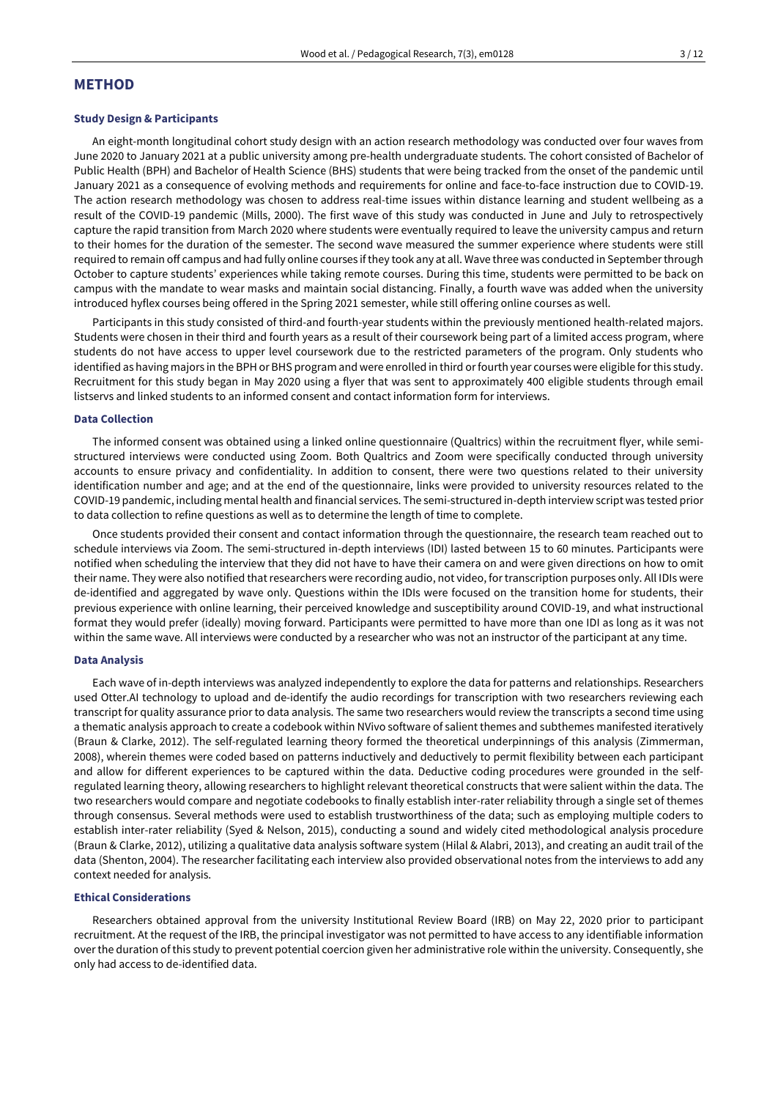# **METHOD**

#### **Study Design & Participants**

An eight-month longitudinal cohort study design with an action research methodology was conducted over four waves from June 2020 to January 2021 at a public university among pre-health undergraduate students. The cohort consisted of Bachelor of Public Health (BPH) and Bachelor of Health Science (BHS) students that were being tracked from the onset of the pandemic until January 2021 as a consequence of evolving methods and requirements for online and face-to-face instruction due to COVID-19. The action research methodology was chosen to address real-time issues within distance learning and student wellbeing as a result of the COVID-19 pandemic (Mills, 2000). The first wave of this study was conducted in June and July to retrospectively capture the rapid transition from March 2020 where students were eventually required to leave the university campus and return to their homes for the duration of the semester. The second wave measured the summer experience where students were still required to remain off campus and had fully online courses ifthey took any at all. Wave three was conducted in Septemberthrough October to capture students' experiences while taking remote courses. During this time, students were permitted to be back on campus with the mandate to wear masks and maintain social distancing. Finally, a fourth wave was added when the university introduced hyflex courses being offered in the Spring 2021 semester, while still offering online courses as well.

Participants in this study consisted of third-and fourth-year students within the previously mentioned health-related majors. Students were chosen in their third and fourth years as a result of their coursework being part of a limited access program, where students do not have access to upper level coursework due to the restricted parameters of the program. Only students who identified as having majors in the BPH or BHS program and were enrolled in third or fourth year courses were eligible for this study. Recruitment for this study began in May 2020 using a flyer that was sent to approximately 400 eligible students through email listservs and linked students to an informed consent and contact information form for interviews.

#### **Data Collection**

The informed consent was obtained using a linked online questionnaire (Qualtrics) within the recruitment flyer, while semistructured interviews were conducted using Zoom. Both Qualtrics and Zoom were specifically conducted through university accounts to ensure privacy and confidentiality. In addition to consent, there were two questions related to their university identification number and age; and at the end of the questionnaire, links were provided to university resources related to the COVID-19 pandemic, including mental health and financial services. The semi-structured in-depth interview script was tested prior to data collection to refine questions as well as to determine the length of time to complete.

Once students provided their consent and contact information through the questionnaire, the research team reached out to schedule interviews via Zoom. The semi-structured in-depth interviews (IDI) lasted between 15 to 60 minutes. Participants were notified when scheduling the interview that they did not have to have their camera on and were given directions on how to omit their name. They were also notified thatresearchers were recording audio, not video, for transcription purposes only. All IDIs were de-identified and aggregated by wave only. Questions within the IDIs were focused on the transition home for students, their previous experience with online learning, their perceived knowledge and susceptibility around COVID-19, and what instructional format they would prefer (ideally) moving forward. Participants were permitted to have more than one IDI as long as it was not within the same wave. All interviews were conducted by a researcher who was not an instructor of the participant at any time.

#### **Data Analysis**

Each wave of in-depth interviews was analyzed independently to explore the data for patterns and relationships. Researchers used Otter.AI technology to upload and de-identify the audio recordings for transcription with two researchers reviewing each transcript for quality assurance prior to data analysis. The same two researchers would review the transcripts a second time using a thematic analysis approach to create a codebook within NVivo software of salient themes and subthemes manifested iteratively (Braun & Clarke, 2012). The self-regulated learning theory formed the theoretical underpinnings of this analysis (Zimmerman, 2008), wherein themes were coded based on patterns inductively and deductively to permit flexibility between each participant and allow for different experiences to be captured within the data. Deductive coding procedures were grounded in the selfregulated learning theory, allowing researchers to highlight relevant theoretical constructs that were salient within the data. The two researchers would compare and negotiate codebooks to finally establish inter-rater reliability through a single set of themes through consensus. Several methods were used to establish trustworthiness of the data; such as employing multiple coders to establish inter-rater reliability (Syed & Nelson, 2015), conducting a sound and widely cited methodological analysis procedure (Braun & Clarke, 2012), utilizing a qualitative data analysis software system (Hilal & Alabri, 2013), and creating an audit trail of the data (Shenton, 2004). The researcher facilitating each interview also provided observational notes from the interviews to add any context needed for analysis.

#### **Ethical Considerations**

Researchers obtained approval from the university Institutional Review Board (IRB) on May 22, 2020 prior to participant recruitment. At the request of the IRB, the principal investigator was not permitted to have access to any identifiable information over the duration of this study to prevent potential coercion given her administrative role within the university. Consequently, she only had access to de-identified data.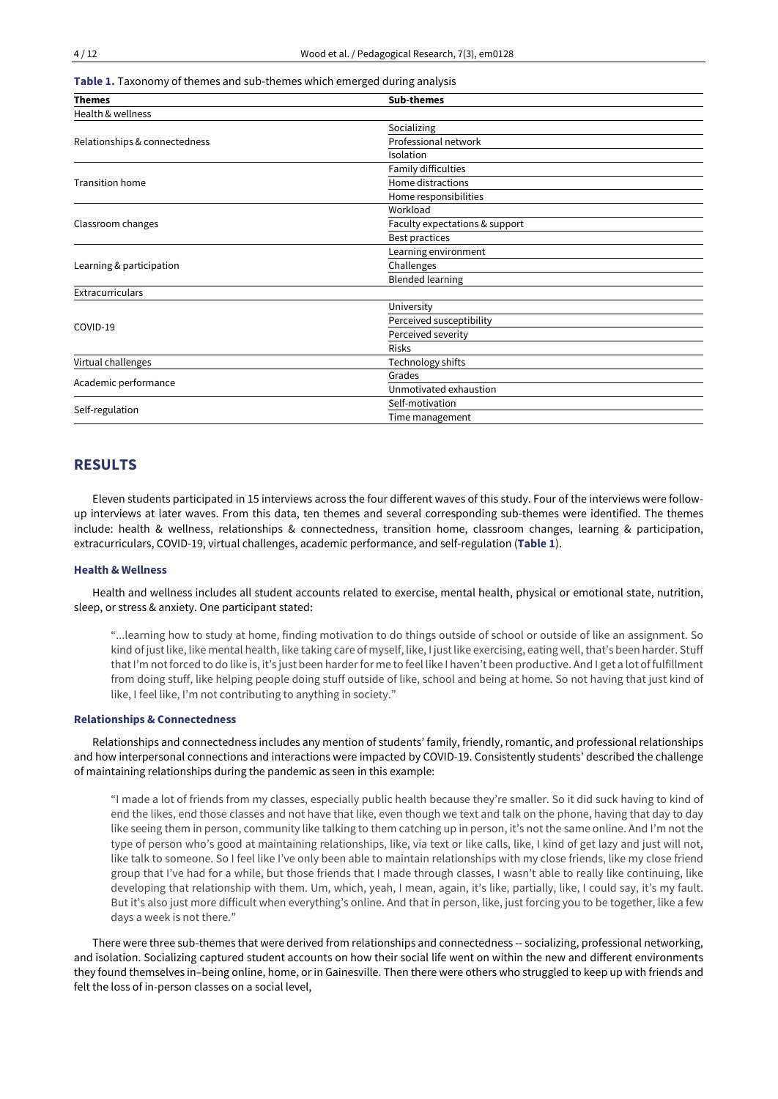**Table 1.** Taxonomy of themes and sub-themes which emerged during analysis

| <b>Themes</b>                                 | <b>Sub-themes</b>              |  |
|-----------------------------------------------|--------------------------------|--|
| Health & wellness                             |                                |  |
|                                               | Socializing                    |  |
| Relationships & connectedness                 | Professional network           |  |
|                                               | Isolation                      |  |
|                                               | Family difficulties            |  |
| <b>Transition home</b>                        | Home distractions              |  |
|                                               | Home responsibilities          |  |
|                                               | Workload                       |  |
| Classroom changes<br>Learning & participation | Faculty expectations & support |  |
|                                               | Best practices                 |  |
|                                               | Learning environment           |  |
|                                               | Challenges                     |  |
|                                               | <b>Blended learning</b>        |  |
| Extracurriculars                              |                                |  |
|                                               | University                     |  |
| COVID-19                                      | Perceived susceptibility       |  |
|                                               | Perceived severity             |  |
|                                               | <b>Risks</b>                   |  |
| Virtual challenges                            | Technology shifts              |  |
| Academic performance                          | Grades                         |  |
|                                               | Unmotivated exhaustion         |  |
| Self-regulation                               | Self-motivation                |  |
|                                               | Time management                |  |

# **RESULTS**

Eleven students participated in 15 interviews across the four different waves of this study. Four of the interviews were followup interviews at later waves. From this data, ten themes and several corresponding sub-themes were identified. The themes include: health & wellness, relationships & connectedness, transition home, classroom changes, learning & participation, extracurriculars, COVID-19, virtual challenges, academic performance, and self-regulation (**Table 1**).

## **Health & Wellness**

Health and wellness includes all student accounts related to exercise, mental health, physical or emotional state, nutrition, sleep, or stress & anxiety. One participant stated:

"...learning how to study at home, finding motivation to do things outside of school or outside of like an assignment. So kind of just like, like mental health, like taking care of myself, like, I just like exercising, eating well, that's been harder. Stuff thatI'm notforced to do like is, it's just been harderfor me to feel like I haven't been productive. And I get a lot of fulfillment from doing stuff, like helping people doing stuff outside of like, school and being at home. So not having that just kind of like, I feel like, I'm not contributing to anything in society."

#### **Relationships & Connectedness**

Relationships and connectedness includes any mention of students' family, friendly, romantic, and professional relationships and how interpersonal connections and interactions were impacted by COVID-19. Consistently students' described the challenge of maintaining relationships during the pandemic as seen in this example:

"I made a lot of friends from my classes, especially public health because they're smaller. So it did suck having to kind of end the likes, end those classes and not have that like, even though we text and talk on the phone, having that day to day like seeing them in person, community like talking to them catching up in person, it's not the same online. And I'm not the type of person who's good at maintaining relationships, like, via text or like calls, like, I kind of get lazy and just will not, like talk to someone. So I feel like I've only been able to maintain relationships with my close friends, like my close friend group that I've had for a while, but those friends that I made through classes, I wasn't able to really like continuing, like developing that relationship with them. Um, which, yeah, I mean, again, it's like, partially, like, I could say, it's my fault. But it's also just more difficult when everything's online. And that in person, like, just forcing you to be together, like a few days a week is not there."

There were three sub-themes that were derived from relationships and connectedness -- socializing, professional networking, and isolation. Socializing captured student accounts on how their social life went on within the new and different environments they found themselves in–being online, home, or in Gainesville. Then there were others who struggled to keep up with friends and felt the loss of in-person classes on a social level,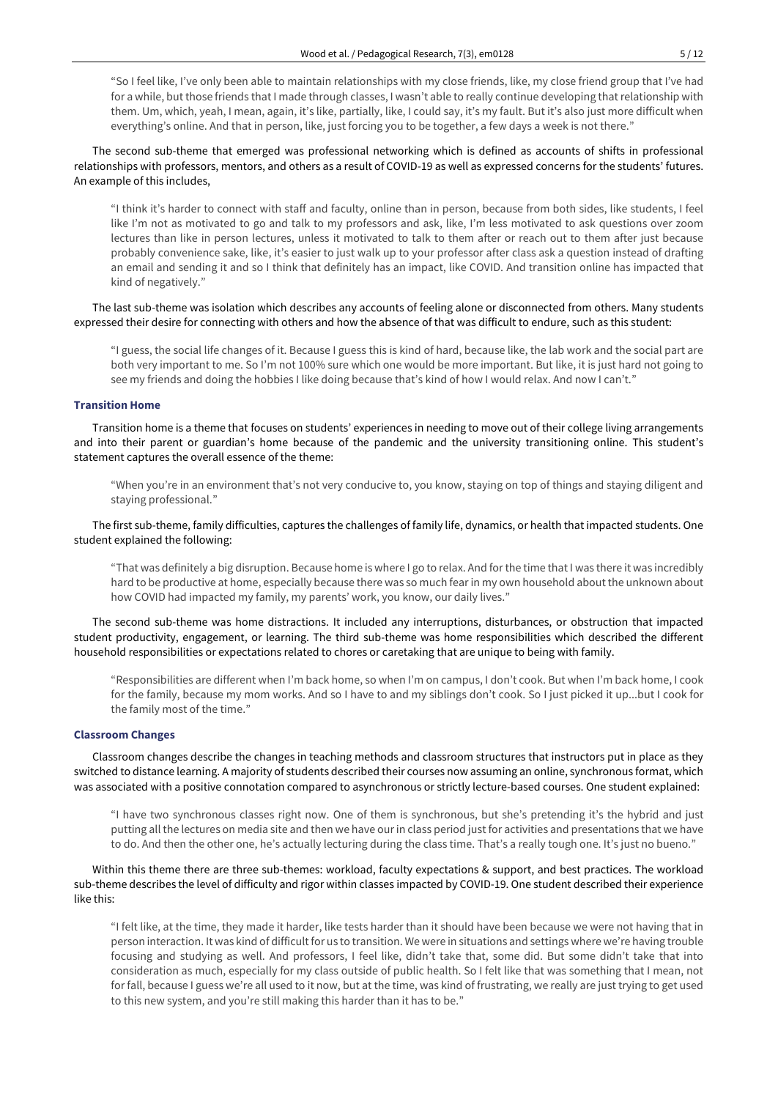"So I feel like, I've only been able to maintain relationships with my close friends, like, my close friend group that I've had for a while, but those friends that I made through classes, I wasn't able to really continue developing that relationship with them. Um, which, yeah, I mean, again, it's like, partially, like, I could say, it's my fault. But it's also just more difficult when everything's online. And that in person, like, just forcing you to be together, a few days a week is not there."

The second sub-theme that emerged was professional networking which is defined as accounts of shifts in professional relationships with professors, mentors, and others as a result of COVID-19 as well as expressed concerns for the students' futures. An example of this includes,

"I think it's harder to connect with staff and faculty, online than in person, because from both sides, like students, I feel like I'm not as motivated to go and talk to my professors and ask, like, I'm less motivated to ask questions over zoom lectures than like in person lectures, unless it motivated to talk to them after or reach out to them after just because probably convenience sake, like, it's easier to just walk up to your professor after class ask a question instead of drafting an email and sending it and so I think that definitely has an impact, like COVID. And transition online has impacted that kind of negatively."

The last sub-theme was isolation which describes any accounts of feeling alone or disconnected from others. Many students expressed their desire for connecting with others and how the absence of that was difficult to endure, such as this student:

"I guess, the social life changes of it. Because I guess this is kind of hard, because like, the lab work and the social part are both very important to me. So I'm not 100% sure which one would be more important. But like, it is just hard not going to see my friends and doing the hobbies I like doing because that's kind of how I would relax. And now I can't."

#### **Transition Home**

Transition home is a theme that focuses on students' experiences in needing to move out of their college living arrangements and into their parent or guardian's home because of the pandemic and the university transitioning online. This student's statement captures the overall essence of the theme:

"When you're in an environment that's not very conducive to, you know, staying on top of things and staying diligent and staying professional."

## The first sub-theme, family difficulties, captures the challenges of family life, dynamics, or health that impacted students. One student explained the following:

"That was definitely a big disruption. Because home is where I go to relax. And for the time that I was there it was incredibly hard to be productive at home, especially because there was so much fear in my own household about the unknown about how COVID had impacted my family, my parents' work, you know, our daily lives."

The second sub-theme was home distractions. It included any interruptions, disturbances, or obstruction that impacted student productivity, engagement, or learning. The third sub-theme was home responsibilities which described the different household responsibilities or expectations related to chores or caretaking that are unique to being with family.

"Responsibilities are different when I'm back home, so when I'm on campus, I don't cook. But when I'm back home, I cook for the family, because my mom works. And so I have to and my siblings don't cook. So I just picked it up...but I cook for the family most of the time."

#### **Classroom Changes**

Classroom changes describe the changes in teaching methods and classroom structures that instructors put in place as they switched to distance learning. A majority of students described their courses now assuming an online, synchronous format, which was associated with a positive connotation compared to asynchronous or strictly lecture-based courses. One student explained:

"I have two synchronous classes right now. One of them is synchronous, but she's pretending it's the hybrid and just putting all the lectures on media site and then we have our in class period just for activities and presentations that we have to do. And then the other one, he's actually lecturing during the class time. That's a really tough one. It's just no bueno."

Within this theme there are three sub-themes: workload, faculty expectations & support, and best practices. The workload sub-theme describes the level of difficulty and rigor within classes impacted by COVID-19. One student described their experience like this:

"I felt like, at the time, they made it harder, like tests harder than it should have been because we were not having that in person interaction. It was kind of difficult for us to transition. We were in situations and settings where we're having trouble focusing and studying as well. And professors, I feel like, didn't take that, some did. But some didn't take that into consideration as much, especially for my class outside of public health. So I felt like that was something that I mean, not for fall, because I guess we're all used to it now, but at the time, was kind of frustrating, we really are just trying to get used to this new system, and you're still making this harder than it has to be."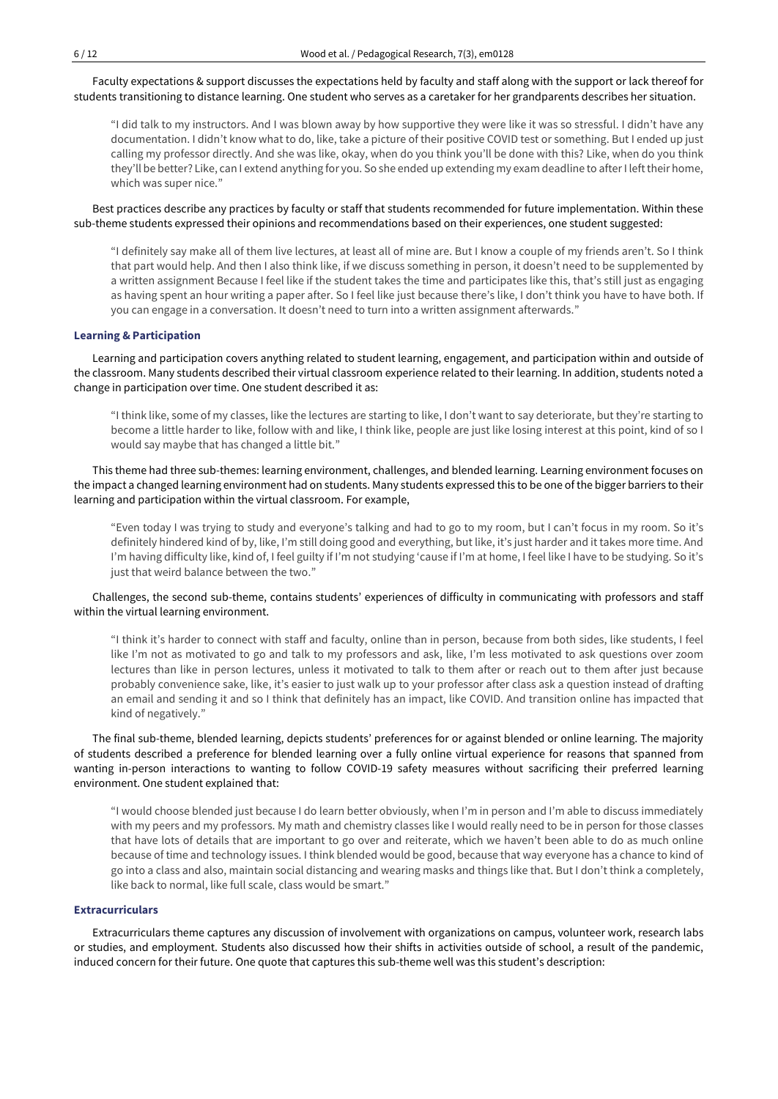Faculty expectations & support discusses the expectations held by faculty and staff along with the support or lack thereof for students transitioning to distance learning. One student who serves as a caretaker for her grandparents describes her situation.

"I did talk to my instructors. And I was blown away by how supportive they were like it was so stressful. I didn't have any documentation. I didn't know what to do, like, take a picture of their positive COVID test or something. But I ended up just calling my professor directly. And she was like, okay, when do you think you'll be done with this? Like, when do you think they'll be better? Like, can I extend anything for you. So she ended up extending my exam deadline to afterI lefttheir home, which was super nice."

Best practices describe any practices by faculty or staff that students recommended for future implementation. Within these sub-theme students expressed their opinions and recommendations based on their experiences, one student suggested:

"I definitely say make all of them live lectures, at least all of mine are. But I know a couple of my friends aren't. So I think that part would help. And then I also think like, if we discuss something in person, it doesn't need to be supplemented by a written assignment Because I feel like if the student takes the time and participates like this, that's still just as engaging as having spent an hour writing a paper after. So I feel like just because there's like, I don't think you have to have both. If you can engage in a conversation. It doesn't need to turn into a written assignment afterwards."

## **Learning & Participation**

Learning and participation covers anything related to student learning, engagement, and participation within and outside of the classroom. Many students described their virtual classroom experience related to their learning. In addition, students noted a change in participation over time. One student described it as:

"I think like, some of my classes, like the lectures are starting to like, I don't want to say deteriorate, but they're starting to become a little harder to like, follow with and like, I think like, people are just like losing interest at this point, kind of so I would say maybe that has changed a little bit."

This theme had three sub-themes: learning environment, challenges, and blended learning. Learning environment focuses on the impact a changed learning environment had on students. Many students expressed this to be one of the bigger barriers to their learning and participation within the virtual classroom. For example,

"Even today I was trying to study and everyone's talking and had to go to my room, but I can't focus in my room. So it's definitely hindered kind of by, like, I'm still doing good and everything, but like, it's just harder and it takes more time. And I'm having difficulty like, kind of, I feel guilty if I'm not studying 'cause if I'm at home, I feel like I have to be studying. So it's just that weird balance between the two."

Challenges, the second sub-theme, contains students' experiences of difficulty in communicating with professors and staff within the virtual learning environment.

"I think it's harder to connect with staff and faculty, online than in person, because from both sides, like students, I feel like I'm not as motivated to go and talk to my professors and ask, like, I'm less motivated to ask questions over zoom lectures than like in person lectures, unless it motivated to talk to them after or reach out to them after just because probably convenience sake, like, it's easier to just walk up to your professor after class ask a question instead of drafting an email and sending it and so I think that definitely has an impact, like COVID. And transition online has impacted that kind of negatively."

The final sub-theme, blended learning, depicts students' preferences for or against blended or online learning. The majority of students described a preference for blended learning over a fully online virtual experience for reasons that spanned from wanting in-person interactions to wanting to follow COVID-19 safety measures without sacrificing their preferred learning environment. One student explained that:

"I would choose blended just because I do learn better obviously, when I'm in person and I'm able to discuss immediately with my peers and my professors. My math and chemistry classes like I would really need to be in person for those classes that have lots of details that are important to go over and reiterate, which we haven't been able to do as much online because of time and technology issues. I think blended would be good, because that way everyone has a chance to kind of go into a class and also, maintain social distancing and wearing masks and things like that. But I don't think a completely, like back to normal, like full scale, class would be smart."

## **Extracurriculars**

Extracurriculars theme captures any discussion of involvement with organizations on campus, volunteer work, research labs or studies, and employment. Students also discussed how their shifts in activities outside of school, a result of the pandemic, induced concern for their future. One quote that captures this sub-theme well was this student's description: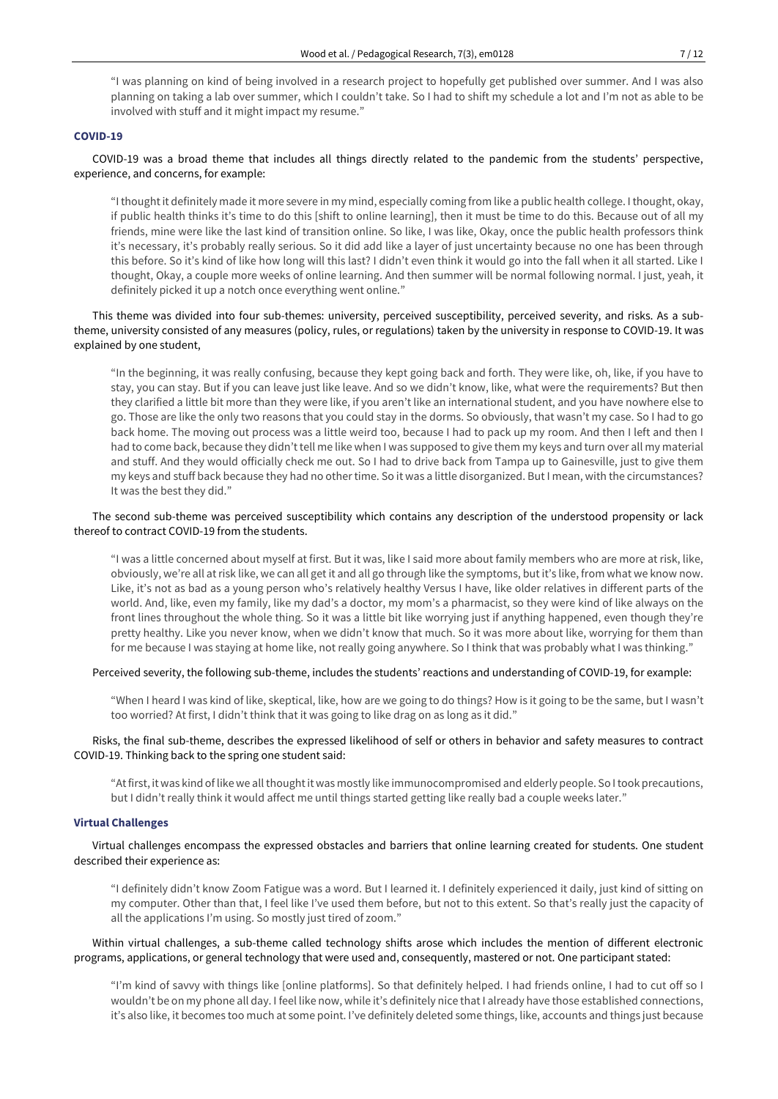"I was planning on kind of being involved in a research project to hopefully get published over summer. And I was also planning on taking a lab over summer, which I couldn't take. So I had to shift my schedule a lot and I'm not as able to be involved with stuff and it might impact my resume."

## **COVID-19**

# COVID-19 was a broad theme that includes all things directly related to the pandemic from the students' perspective, experience, and concerns, for example:

"Ithoughtit definitely made it more severe in my mind, especially coming from like a public health college. Ithought, okay, if public health thinks it's time to do this [shift to online learning], then it must be time to do this. Because out of all my friends, mine were like the last kind of transition online. So like, I was like, Okay, once the public health professors think it's necessary, it's probably really serious. So it did add like a layer of just uncertainty because no one has been through this before. So it's kind of like how long will this last? I didn't even think it would go into the fall when it all started. Like I thought, Okay, a couple more weeks of online learning. And then summer will be normal following normal. I just, yeah, it definitely picked it up a notch once everything went online."

# This theme was divided into four sub-themes: university, perceived susceptibility, perceived severity, and risks. As a subtheme, university consisted of any measures (policy, rules, or regulations) taken by the university in response to COVID-19. It was explained by one student,

"In the beginning, it was really confusing, because they kept going back and forth. They were like, oh, like, if you have to stay, you can stay. But if you can leave just like leave. And so we didn't know, like, what were the requirements? But then they clarified a little bit more than they were like, if you aren't like an international student, and you have nowhere else to go. Those are like the only two reasons that you could stay in the dorms. So obviously, that wasn't my case. So I had to go back home. The moving out process was a little weird too, because I had to pack up my room. And then I left and then I had to come back, because they didn't tell me like when I was supposed to give them my keys and turn over all my material and stuff. And they would officially check me out. So I had to drive back from Tampa up to Gainesville, just to give them my keys and stuff back because they had no other time. So it was a little disorganized. But I mean, with the circumstances? It was the best they did."

## The second sub-theme was perceived susceptibility which contains any description of the understood propensity or lack thereof to contract COVID-19 from the students.

"I was a little concerned about myself at first. But it was, like I said more about family members who are more at risk, like, obviously, we're all atrisk like, we can all get it and all go through like the symptoms, but it's like, from what we know now. Like, it's not as bad as a young person who's relatively healthy Versus I have, like older relatives in different parts of the world. And, like, even my family, like my dad's a doctor, my mom's a pharmacist, so they were kind of like always on the front lines throughout the whole thing. So it was a little bit like worrying just if anything happened, even though they're pretty healthy. Like you never know, when we didn't know that much. So it was more about like, worrying for them than for me because I was staying at home like, not really going anywhere. So I think that was probably what I was thinking."

#### Perceived severity, the following sub-theme, includes the students' reactions and understanding of COVID-19, for example:

"When I heard I was kind of like, skeptical, like, how are we going to do things? How is it going to be the same, but I wasn't too worried? At first, I didn't think that it was going to like drag on as long as it did."

## Risks, the final sub-theme, describes the expressed likelihood of self or others in behavior and safety measures to contract COVID-19. Thinking back to the spring one student said:

"At first, it was kind of like we all thought it was mostly like immunocompromised and elderly people. So I took precautions, but I didn't really think it would affect me until things started getting like really bad a couple weeks later."

## **Virtual Challenges**

Virtual challenges encompass the expressed obstacles and barriers that online learning created for students. One student described their experience as:

"I definitely didn't know Zoom Fatigue was a word. But I learned it. I definitely experienced it daily, just kind of sitting on my computer. Other than that, I feel like I've used them before, but not to this extent. So that's really just the capacity of all the applications I'm using. So mostly just tired of zoom."

## Within virtual challenges, a sub-theme called technology shifts arose which includes the mention of different electronic programs, applications, or general technology that were used and, consequently, mastered or not. One participant stated:

"I'm kind of savvy with things like [online platforms]. So that definitely helped. I had friends online, I had to cut off so I wouldn't be on my phone all day. I feel like now, while it's definitely nice that I already have those established connections, it's also like, it becomes too much at some point. I've definitely deleted some things, like, accounts and things just because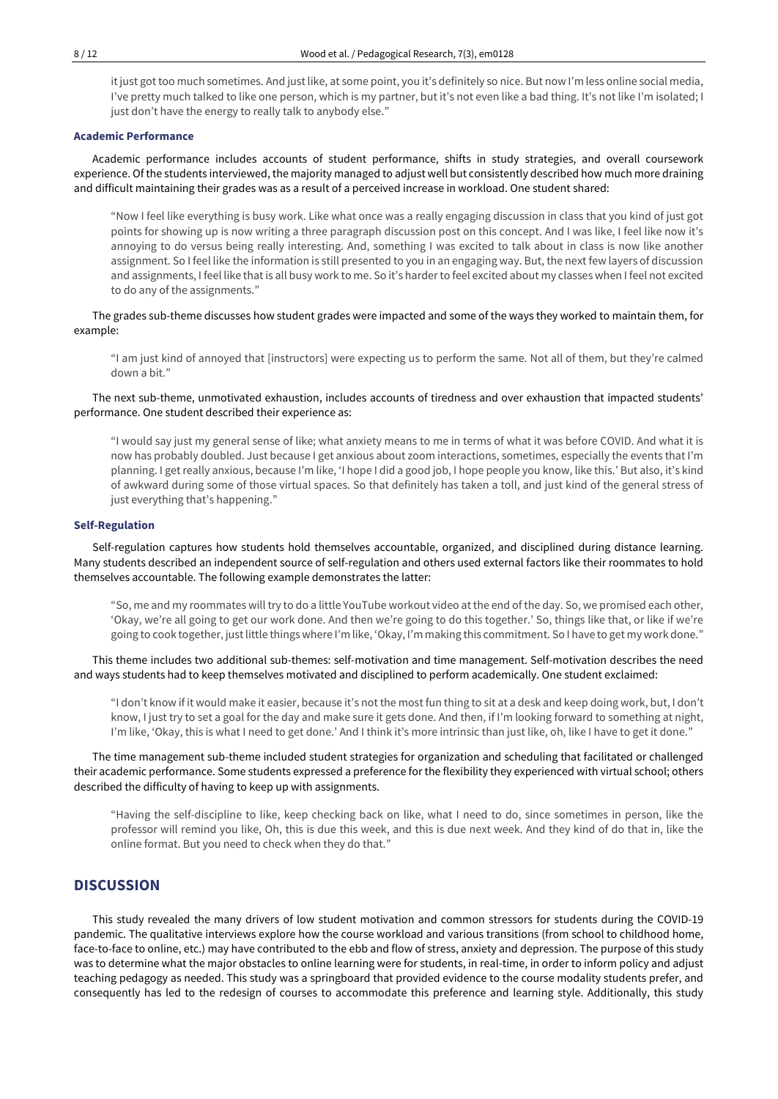it just got too much sometimes. And just like, at some point, you it's definitely so nice. But now I'm less online social media, I've pretty much talked to like one person, which is my partner, but it's not even like a bad thing. It's not like I'm isolated; I just don't have the energy to really talk to anybody else."

### **Academic Performance**

Academic performance includes accounts of student performance, shifts in study strategies, and overall coursework experience. Of the students interviewed, the majority managed to adjust well but consistently described how much more draining and difficult maintaining their grades was as a result of a perceived increase in workload. One student shared:

"Now I feel like everything is busy work. Like what once was a really engaging discussion in class that you kind of just got points for showing up is now writing a three paragraph discussion post on this concept. And I was like, I feel like now it's annoying to do versus being really interesting. And, something I was excited to talk about in class is now like another assignment. So I feel like the information is still presented to you in an engaging way. But, the next few layers of discussion and assignments, I feel like that is all busy work to me. So it's harderto feel excited about my classes when I feel not excited to do any of the assignments."

The grades sub-theme discusses how student grades were impacted and some of the ways they worked to maintain them, for example:

"I am just kind of annoyed that [instructors] were expecting us to perform the same. Not all of them, but they're calmed down a bit."

The next sub-theme, unmotivated exhaustion, includes accounts of tiredness and over exhaustion that impacted students' performance. One student described their experience as:

"I would say just my general sense of like; what anxiety means to me in terms of what it was before COVID. And what it is now has probably doubled. Just because I get anxious about zoom interactions, sometimes, especially the events that I'm planning. I get really anxious, because I'm like, 'I hope I did a good job, I hope people you know, like this.' But also, it's kind of awkward during some of those virtual spaces. So that definitely has taken a toll, and just kind of the general stress of just everything that's happening."

#### **Self-Regulation**

Self-regulation captures how students hold themselves accountable, organized, and disciplined during distance learning. Many students described an independent source of self-regulation and others used external factors like their roommates to hold themselves accountable. The following example demonstrates the latter:

"So, me and my roommates will try to do a little YouTube workout video atthe end of the day. So, we promised each other, 'Okay, we're all going to get our work done. And then we're going to do this together.' So, things like that, or like if we're going to cook together, justlittle things where I'm like, 'Okay, I'm making this commitment. So I have to get my work done."

This theme includes two additional sub-themes: self-motivation and time management. Self-motivation describes the need and ways students had to keep themselves motivated and disciplined to perform academically. One student exclaimed:

"I don't know if it would make it easier, because it's not the most fun thing to sit at a desk and keep doing work, but, I don't know, I just try to set a goal for the day and make sure it gets done. And then, if I'm looking forward to something at night, I'm like, 'Okay, this is what I need to get done.' And I think it's more intrinsic than just like, oh, like I have to get it done."

The time management sub-theme included student strategies for organization and scheduling that facilitated or challenged their academic performance. Some students expressed a preference for the flexibility they experienced with virtual school; others described the difficulty of having to keep up with assignments.

"Having the self-discipline to like, keep checking back on like, what I need to do, since sometimes in person, like the professor will remind you like, Oh, this is due this week, and this is due next week. And they kind of do that in, like the online format. But you need to check when they do that."

# **DISCUSSION**

This study revealed the many drivers of low student motivation and common stressors for students during the COVID-19 pandemic. The qualitative interviews explore how the course workload and various transitions (from school to childhood home, face-to-face to online, etc.) may have contributed to the ebb and flow of stress, anxiety and depression. The purpose of this study was to determine what the major obstacles to online learning were for students, in real-time, in order to inform policy and adjust teaching pedagogy as needed. This study was a springboard that provided evidence to the course modality students prefer, and consequently has led to the redesign of courses to accommodate this preference and learning style. Additionally, this study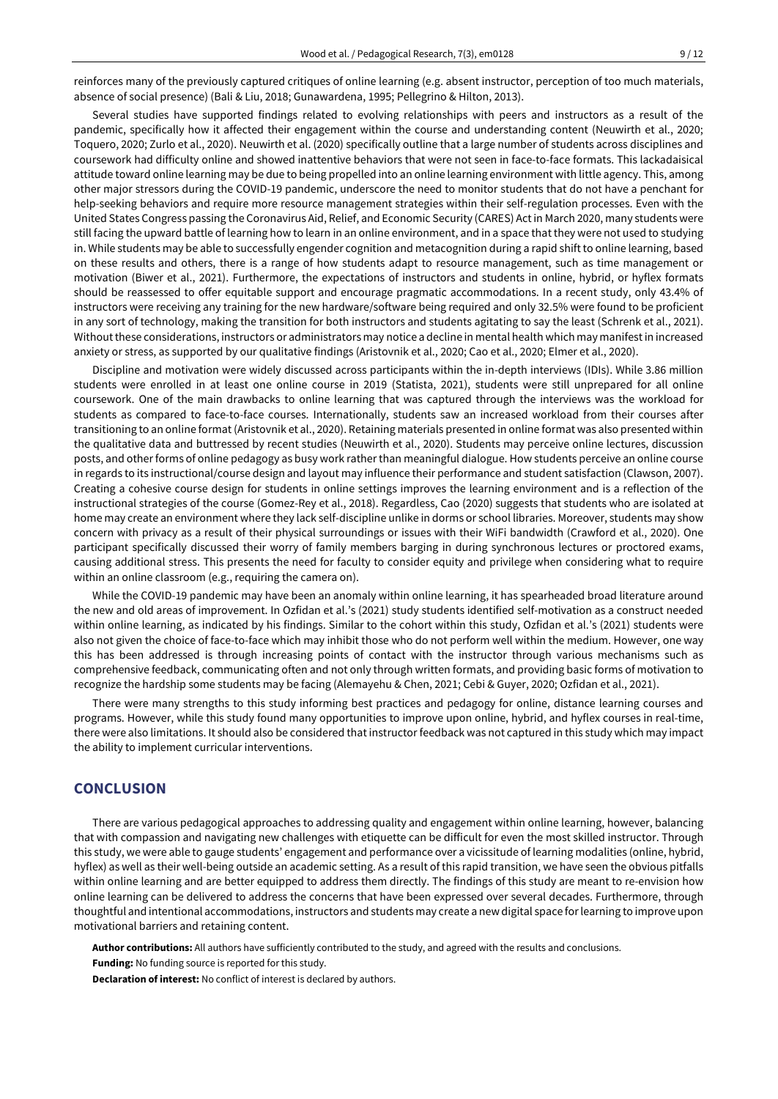reinforces many of the previously captured critiques of online learning (e.g. absent instructor, perception of too much materials, absence of social presence) (Bali & Liu, 2018; Gunawardena, 1995; Pellegrino & Hilton, 2013).

Several studies have supported findings related to evolving relationships with peers and instructors as a result of the pandemic, specifically how it affected their engagement within the course and understanding content (Neuwirth et al., 2020; Toquero, 2020; Zurlo et al., 2020). Neuwirth et al. (2020) specifically outline that a large number of students across disciplines and coursework had difficulty online and showed inattentive behaviors that were not seen in face-to-face formats. This lackadaisical attitude toward online learning may be due to being propelled into an online learning environment with little agency. This, among other major stressors during the COVID-19 pandemic, underscore the need to monitor students that do not have a penchant for help-seeking behaviors and require more resource management strategies within their self-regulation processes. Even with the United States Congress passing the Coronavirus Aid, Relief, and Economic Security (CARES) Actin March 2020, many students were still facing the upward battle of learning how to learn in an online environment, and in a space that they were not used to studying in. While students may be able to successfully engender cognition and metacognition during a rapid shift to online learning, based on these results and others, there is a range of how students adapt to resource management, such as time management or motivation (Biwer et al., 2021). Furthermore, the expectations of instructors and students in online, hybrid, or hyflex formats should be reassessed to offer equitable support and encourage pragmatic accommodations. In a recent study, only 43.4% of instructors were receiving any training for the new hardware/software being required and only 32.5% were found to be proficient in any sort of technology, making the transition for both instructors and students agitating to say the least (Schrenk et al., 2021). Withoutthese considerations, instructors or administrators may notice a decline in mental health which may manifestin increased anxiety or stress, as supported by our qualitative findings (Aristovnik et al., 2020; Cao et al., 2020; Elmer et al., 2020).

Discipline and motivation were widely discussed across participants within the in-depth interviews (IDIs). While 3.86 million students were enrolled in at least one online course in 2019 (Statista, 2021), students were still unprepared for all online coursework. One of the main drawbacks to online learning that was captured through the interviews was the workload for students as compared to face-to-face courses. Internationally, students saw an increased workload from their courses after transitioning to an online format (Aristovnik et al., 2020). Retaining materials presented in online format was also presented within the qualitative data and buttressed by recent studies (Neuwirth et al., 2020). Students may perceive online lectures, discussion posts, and other forms of online pedagogy as busy work ratherthan meaningful dialogue. How students perceive an online course in regards to its instructional/course design and layout may influence their performance and student satisfaction (Clawson, 2007). Creating a cohesive course design for students in online settings improves the learning environment and is a reflection of the instructional strategies of the course (Gomez-Rey et al., 2018). Regardless, Cao (2020) suggests that students who are isolated at home may create an environment where they lack self-discipline unlike in dorms or school libraries. Moreover, students may show concern with privacy as a result of their physical surroundings or issues with their WiFi bandwidth (Crawford et al., 2020). One participant specifically discussed their worry of family members barging in during synchronous lectures or proctored exams, causing additional stress. This presents the need for faculty to consider equity and privilege when considering what to require within an online classroom (e.g., requiring the camera on).

While the COVID-19 pandemic may have been an anomaly within online learning, it has spearheaded broad literature around the new and old areas of improvement. In Ozfidan et al.'s (2021) study students identified self-motivation as a construct needed within online learning, as indicated by his findings. Similar to the cohort within this study, Ozfidan et al.'s (2021) students were also not given the choice of face-to-face which may inhibit those who do not perform well within the medium. However, one way this has been addressed is through increasing points of contact with the instructor through various mechanisms such as comprehensive feedback, communicating often and not only through written formats, and providing basic forms of motivation to recognize the hardship some students may be facing (Alemayehu & Chen, 2021; Cebi & Guyer, 2020; Ozfidan et al., 2021).

There were many strengths to this study informing best practices and pedagogy for online, distance learning courses and programs. However, while this study found many opportunities to improve upon online, hybrid, and hyflex courses in real-time, there were also limitations. It should also be considered that instructor feedback was not captured in this study which may impact the ability to implement curricular interventions.

# **CONCLUSION**

There are various pedagogical approaches to addressing quality and engagement within online learning, however, balancing that with compassion and navigating new challenges with etiquette can be difficult for even the most skilled instructor. Through this study, we were able to gauge students' engagement and performance over a vicissitude of learning modalities (online, hybrid, hyflex) as well as their well-being outside an academic setting. As a result of this rapid transition, we have seen the obvious pitfalls within online learning and are better equipped to address them directly. The findings of this study are meant to re-envision how online learning can be delivered to address the concerns that have been expressed over several decades. Furthermore, through thoughtful and intentional accommodations, instructors and students may create a new digital space forlearning to improve upon motivational barriers and retaining content.

**Author contributions:** All authors have sufficiently contributed to the study, and agreed with the results and conclusions.

**Funding:** No funding source is reported for this study.

**Declaration of interest:** No conflict of interest is declared by authors.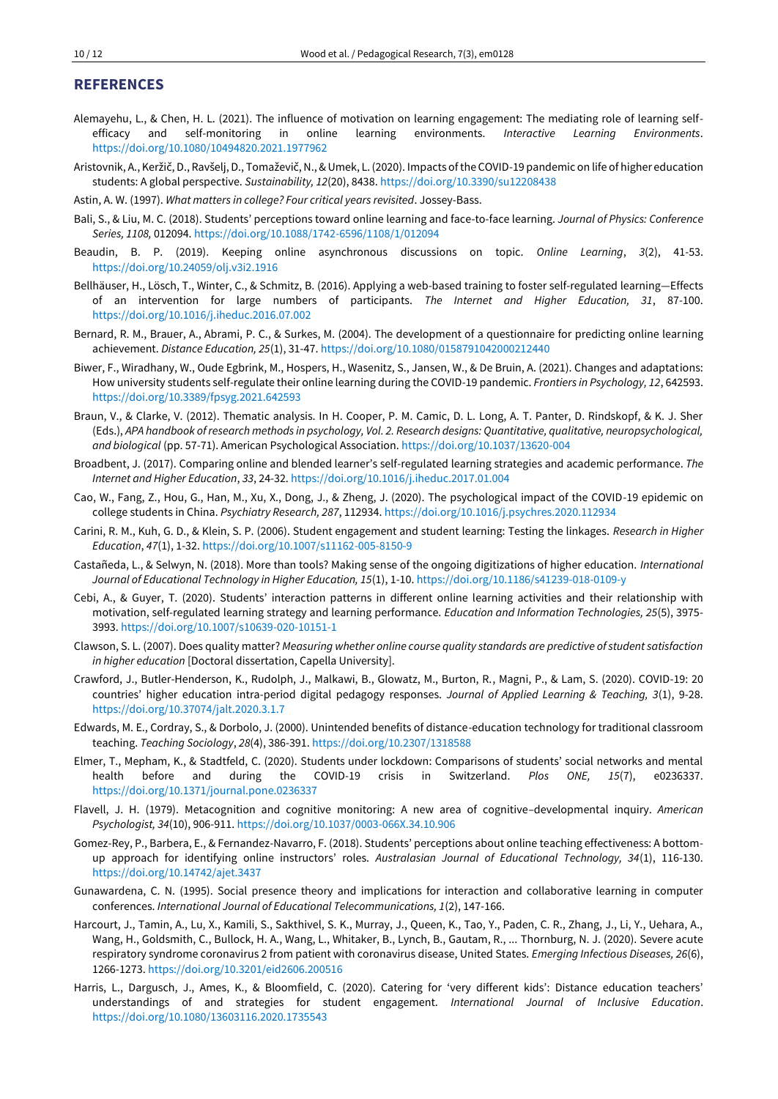# **REFERENCES**

- Alemayehu, L., & Chen, H. L. (2021). The influence of motivation on learning engagement: The mediating role of learning selfefficacy and self-monitoring in online learning environments. *Interactive Learning Environments*. <https://doi.org/10.1080/10494820.2021.1977962>
- Aristovnik, A., Keržič, D., Ravšelj, D., Tomaževič, N., & Umek, L. (2020). Impacts of the COVID-19 pandemic on life of higher education students: A global perspective. *Sustainability, 12*(20), 8438. <https://doi.org/10.3390/su12208438>
- Astin, A. W. (1997). *What matters in college? Four critical years revisited*. Jossey-Bass.
- Bali, S., & Liu, M. C. (2018). Students' perceptions toward online learning and face-to-face learning. *Journal of Physics: Conference Series, 1108,* 012094.<https://doi.org/10.1088/1742-6596/1108/1/012094>
- Beaudin, B. P. (2019). Keeping online asynchronous discussions on topic. *Online Learning*, *3*(2), 41-53. <https://doi.org/10.24059/olj.v3i2.1916>
- Bellhäuser, H., Lösch, T., Winter, C., & Schmitz, B. (2016). Applying a web-based training to foster self-regulated learning—Effects of an intervention for large numbers of participants. *The Internet and Higher Education, 31*, 87-100. <https://doi.org/10.1016/j.iheduc.2016.07.002>
- Bernard, R. M., Brauer, A., Abrami, P. C., & Surkes, M. (2004). The development of a questionnaire for predicting online learning achievement. *Distance Education, 25*(1), 31-47. <https://doi.org/10.1080/0158791042000212440>
- Biwer, F., Wiradhany, W., Oude Egbrink, M., Hospers, H., Wasenitz, S., Jansen, W., & De Bruin, A. (2021). Changes and adaptations: How university students self-regulate their online learning during the COVID-19 pandemic. *Frontiers in Psychology, 12*, 642593. <https://doi.org/10.3389/fpsyg.2021.642593>
- Braun, V., & Clarke, V. (2012). Thematic analysis. In H. Cooper, P. M. Camic, D. L. Long, A. T. Panter, D. Rindskopf, & K. J. Sher (Eds.), *APA handbook of research methods in psychology, Vol. 2. Research designs: Quantitative, qualitative, neuropsychological, and biological* (pp. 57-71). American Psychological Association. [https://doi.org/10.1037/13620-004](https://psycnet.apa.org/doi/10.1037/13620-004)
- Broadbent, J. (2017). Comparing online and blended learner's self-regulated learning strategies and academic performance. *The Internet and Higher Education*, *33*, 24-32. <https://doi.org/10.1016/j.iheduc.2017.01.004>
- Cao, W., Fang, Z., Hou, G., Han, M., Xu, X., Dong, J., & Zheng, J. (2020). The psychological impact of the COVID-19 epidemic on college students in China. *Psychiatry Research, 287*, 112934[. https://doi.org/10.1016/j.psychres.2020.112934](https://doi.org/10.1016/j.psychres.2020.112934)
- Carini, R. M., Kuh, G. D., & Klein, S. P. (2006). Student engagement and student learning: Testing the linkages. *Research in Higher Education*, *47*(1), 1-32[. https://doi.org/10.1007/s11162-005-8150-9](https://doi.org/10.1007/s11162-005-8150-9)
- Castañeda, L., & Selwyn, N. (2018). More than tools? Making sense of the ongoing digitizations of higher education. *International Journal of Educational Technology in Higher Education, 15*(1), 1-10. <https://doi.org/10.1186/s41239-018-0109-y>
- Cebi, A., & Guyer, T. (2020). Students' interaction patterns in different online learning activities and their relationship with motivation, self-regulated learning strategy and learning performance. *Education and Information Technologies, 25*(5), 3975- 3993. <https://doi.org/10.1007/s10639-020-10151-1>
- Clawson, S. L. (2007). Does quality matter? *Measuring whether online course quality standards are predictive of student satisfaction in higher education* [Doctoral dissertation, Capella University].
- Crawford, J., Butler-Henderson, K., Rudolph, J., Malkawi, B., Glowatz, M., Burton, R., Magni, P., & Lam, S. (2020). COVID-19: 20 countries' higher education intra-period digital pedagogy responses. *Journal of Applied Learning & Teaching, 3*(1), 9-28. <https://doi.org/10.37074/jalt.2020.3.1.7>
- Edwards, M. E., Cordray, S., & Dorbolo, J. (2000). Unintended benefits of distance-education technology for traditional classroom teaching. *Teaching Sociology*, *28*(4), 386-391[. https://doi.org/10.2307/1318588](https://doi.org/10.2307/1318588)
- Elmer, T., Mepham, K., & Stadtfeld, C. (2020). Students under lockdown: Comparisons of students' social networks and mental health before and during the COVID-19 crisis in Switzerland. *Plos ONE, 15*(7), e0236337. <https://doi.org/10.1371/journal.pone.0236337>
- Flavell, J. H. (1979). Metacognition and cognitive monitoring: A new area of cognitive–developmental inquiry. *American Psychologist, 34*(10), 906-911[. https://doi.org/10.1037/0003-066X.34.10.906](https://doi.org/10.1037/0003-066X.34.10.906)
- Gomez-Rey, P., Barbera, E., & Fernandez-Navarro, F. (2018). Students' perceptions about online teaching effectiveness: A bottomup approach for identifying online instructors' roles. *Australasian Journal of Educational Technology, 34*(1), 116-130. <https://doi.org/10.14742/ajet.3437>
- Gunawardena, C. N. (1995). Social presence theory and implications for interaction and collaborative learning in computer conferences. *International Journal of Educational Telecommunications, 1*(2), 147-166.
- Harcourt, J., Tamin, A., Lu, X., Kamili, S., Sakthivel, S. K., Murray, J., Queen, K., Tao, Y., Paden, C. R., Zhang, J., Li, Y., Uehara, A., Wang, H., Goldsmith, C., Bullock, H. A., Wang, L., Whitaker, B., Lynch, B., Gautam, R., ... Thornburg, N. J. (2020). Severe acute respiratory syndrome coronavirus 2 from patient with coronavirus disease, United States. *Emerging Infectious Diseases, 26*(6), 1266-1273. <https://doi.org/10.3201/eid2606.200516>
- Harris, L., Dargusch, J., Ames, K., & Bloomfield, C. (2020). Catering for 'very different kids': Distance education teachers' understandings of and strategies for student engagement. *International Journal of Inclusive Education*. <https://doi.org/10.1080/13603116.2020.1735543>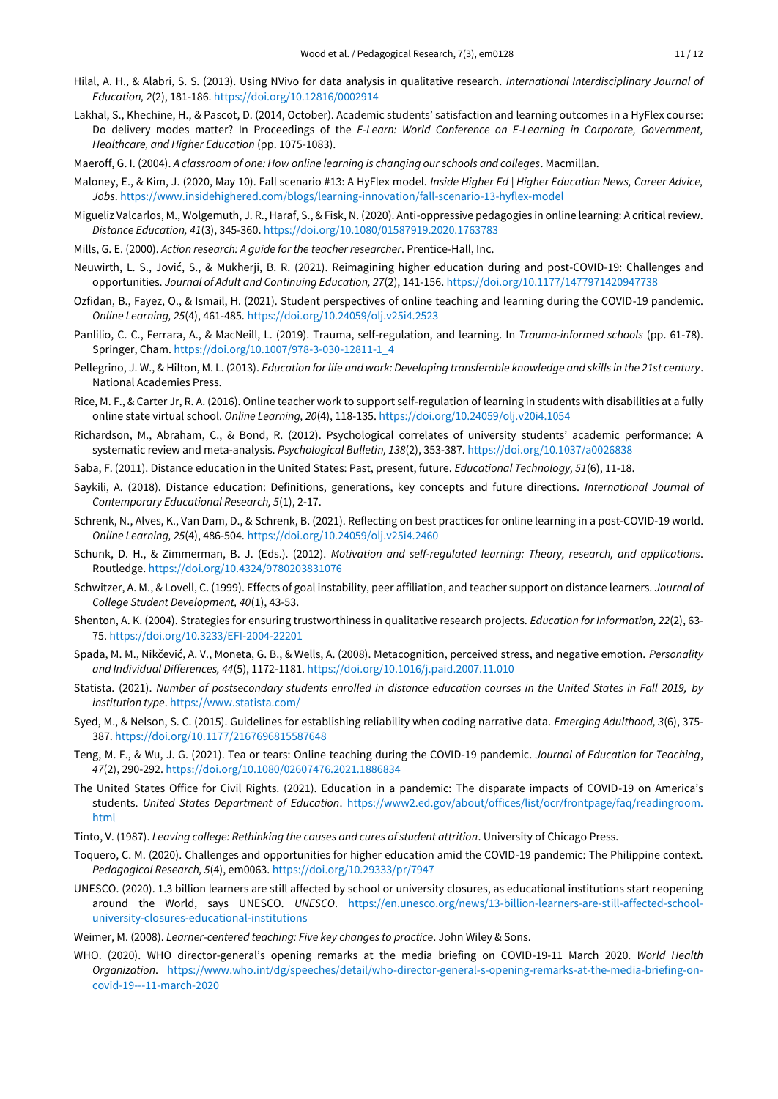- Hilal, A. H., & Alabri, S. S. (2013). Using NVivo for data analysis in qualitative research. *International Interdisciplinary Journal of Education, 2*(2), 181-186. <https://doi.org/10.12816/0002914>
- Lakhal, S., Khechine, H., & Pascot, D. (2014, October). Academic students' satisfaction and learning outcomes in a HyFlex course: Do delivery modes matter? In Proceedings of the *E-Learn: World Conference on E-Learning in Corporate, Government, Healthcare, and Higher Education* (pp. 1075-1083).
- Maeroff, G. I. (2004). *A classroom of one: How online learning is changing our schools and colleges*. Macmillan.
- Maloney, E., & Kim, J. (2020, May 10). Fall scenario #13: A HyFlex model. *Inside Higher Ed | Higher Education News, Career Advice, Jobs*[. https://www.insidehighered.com/blogs/learning-innovation/fall-scenario-13-hyflex-model](https://www.insidehighered.com/blogs/learning-innovation/fall-scenario-13-hyflex-model)
- Migueliz Valcarlos, M., Wolgemuth, J. R., Haraf, S., & Fisk, N. (2020). Anti-oppressive pedagogies in online learning: A critical review. *Distance Education, 41*(3), 345-360. <https://doi.org/10.1080/01587919.2020.1763783>
- Mills, G. E. (2000). *Action research: A guide for the teacher researcher*. Prentice-Hall, Inc.
- Neuwirth, L. S., Jović, S., & Mukherji, B. R. (2021). Reimagining higher education during and post-COVID-19: Challenges and opportunities. *Journal of Adult and Continuing Education, 27*(2), 141-156. <https://doi.org/10.1177/1477971420947738>
- Ozfidan, B., Fayez, O., & Ismail, H. (2021). Student perspectives of online teaching and learning during the COVID-19 pandemic. *Online Learning, 25*(4), 461-485. <https://doi.org/10.24059/olj.v25i4.2523>
- Panlilio, C. C., Ferrara, A., & MacNeill, L. (2019). Trauma, self-regulation, and learning. In *Trauma-informed schools* (pp. 61-78). Springer, Cham. [https://doi.org/10.1007/978-3-030-12811-1\\_4](https://doi.org/10.1007/978-3-030-12811-1_4)
- Pellegrino, J. W., & Hilton, M. L. (2013). *Education for life and work: Developing transferable knowledge and skills in the 21st century*. National Academies Press.
- Rice, M. F., & Carter Jr, R. A. (2016). Online teacher work to support self-regulation of learning in students with disabilities at a fully online state virtual school. *Online Learning, 20*(4), 118-135. <https://doi.org/10.24059/olj.v20i4.1054>
- Richardson, M., Abraham, C., & Bond, R. (2012). Psychological correlates of university students' academic performance: A systematic review and meta-analysis. *Psychological Bulletin, 138*(2), 353-387. <https://doi.org/10.1037/a0026838>
- Saba, F. (2011). Distance education in the United States: Past, present, future. *Educational Technology, 51*(6), 11-18.
- Saykili, A. (2018). Distance education: Definitions, generations, key concepts and future directions. *International Journal of Contemporary Educational Research, 5*(1), 2-17.
- Schrenk, N., Alves, K., Van Dam, D., & Schrenk, B. (2021). Reflecting on best practices for online learning in a post-COVID-19 world. *Online Learning, 25*(4), 486-504. <https://doi.org/10.24059/olj.v25i4.2460>
- Schunk, D. H., & Zimmerman, B. J. (Eds.). (2012). *Motivation and self-regulated learning: Theory, research, and applications*. Routledge. <https://doi.org/10.4324/9780203831076>
- Schwitzer, A. M., & Lovell, C. (1999). Effects of goal instability, peer affiliation, and teacher support on distance learners. *Journal of College Student Development, 40*(1), 43-53.
- Shenton, A. K. (2004). Strategies for ensuring trustworthiness in qualitative research projects. *Education for Information, 22*(2), 63- 75. <https://doi.org/10.3233/EFI-2004-22201>
- Spada, M. M., Nikčević, A. V., Moneta, G. B., & Wells, A. (2008). Metacognition, perceived stress, and negative emotion. *Personality and Individual Differences, 44*(5), 1172-1181. <https://doi.org/10.1016/j.paid.2007.11.010>
- Statista. (2021). *Number of postsecondary students enrolled in distance education courses in the United States in Fall 2019, by institution type*[. https://www.statista.com/](https://www.statista.com/)
- Syed, M., & Nelson, S. C. (2015). Guidelines for establishing reliability when coding narrative data. *Emerging Adulthood, 3*(6), 375- 387. <https://doi.org/10.1177/2167696815587648>
- Teng, M. F., & Wu, J. G. (2021). Tea or tears: Online teaching during the COVID-19 pandemic. *Journal of Education for Teaching*, *47*(2), 290-292. <https://doi.org/10.1080/02607476.2021.1886834>
- The United States Office for Civil Rights. (2021). Education in a pandemic: The disparate impacts of COVID-19 on America's students. *United States Department of Education*. [https://www2.ed.gov/about/offices/list/ocr/frontpage/faq/readingroom.](https://www2.ed.gov/about/offices/list/ocr/frontpage/faq/readingroom.html) [html](https://www2.ed.gov/about/offices/list/ocr/frontpage/faq/readingroom.html)
- Tinto, V. (1987). *Leaving college: Rethinking the causes and cures of student attrition*. University of Chicago Press.
- Toquero, C. M. (2020). Challenges and opportunities for higher education amid the COVID-19 pandemic: The Philippine context. *Pedagogical Research, 5*(4), em0063[. https://doi.org/10.29333/pr/7947](https://doi.org/10.29333/pr/7947)
- UNESCO. (2020). 1.3 billion learners are still affected by school or university closures, as educational institutions start reopening around the World, says UNESCO. *UNESCO*. [https://en.unesco.org/news/13-billion-learners-are-still-affected-school](https://en.unesco.org/news/13-billion-learners-are-still-affected-school-university-closures-educational-institutions)[university-closures-educational-institutions](https://en.unesco.org/news/13-billion-learners-are-still-affected-school-university-closures-educational-institutions)
- Weimer, M. (2008). *Learner-centered teaching: Five key changes to practice*. John Wiley & Sons.
- WHO. (2020). WHO director-general's opening remarks at the media briefing on COVID-19-11 March 2020. *World Health Organization*. [https://www.who.int/dg/speeches/detail/who-director-general-s-opening-remarks-at-the-media-briefing-on](https://www.who.int/dg/speeches/detail/who-director-general-s-opening-remarks-at-the-media-briefing-on-covid-19---11-march-2020)[covid-19---11-march-2020](https://www.who.int/dg/speeches/detail/who-director-general-s-opening-remarks-at-the-media-briefing-on-covid-19---11-march-2020)